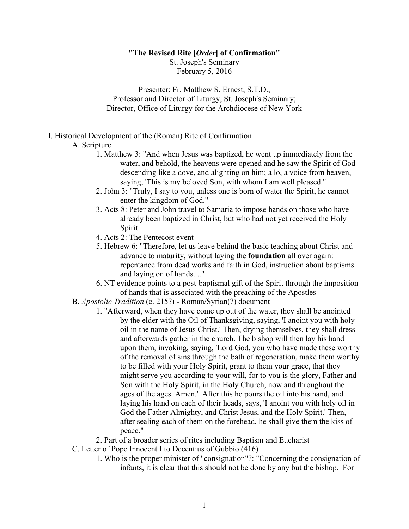#### **"The Revised Rite [***Order***] of Confirmation"**

St. Joseph's Seminary February 5, 2016

Presenter: Fr. Matthew S. Ernest, S.T.D., Professor and Director of Liturgy, St. Joseph's Seminary; Director, Office of Liturgy for the Archdiocese of New York

#### I. Historical Development of the (Roman) Rite of Confirmation

### A. Scripture

- 1. Matthew 3: "And when Jesus was baptized, he went up immediately from the water, and behold, the heavens were opened and he saw the Spirit of God descending like a dove, and alighting on him; a lo, a voice from heaven, saying, 'This is my beloved Son, with whom I am well pleased."
- 2. John 3: "Truly, I say to you, unless one is born of water the Spirit, he cannot enter the kingdom of God."
- 3. Acts 8: Peter and John travel to Samaria to impose hands on those who have already been baptized in Christ, but who had not yet received the Holy Spirit.
- 4. Acts 2: The Pentecost event
- 5. Hebrew 6: "Therefore, let us leave behind the basic teaching about Christ and advance to maturity, without laying the **foundation** all over again: repentance from dead works and faith in God, instruction about baptisms and laying on of hands...."
- 6. NT evidence points to a post-baptismal gift of the Spirit through the imposition of hands that is associated with the preaching of the Apostles
- B. *Apostolic Tradition* (c. 215?) Roman/Syrian(?) document
	- 1. "Afterward, when they have come up out of the water, they shall be anointed by the elder with the Oil of Thanksgiving, saying, 'I anoint you with holy oil in the name of Jesus Christ.' Then, drying themselves, they shall dress and afterwards gather in the church. The bishop will then lay his hand upon them, invoking, saying, 'Lord God, you who have made these worthy of the removal of sins through the bath of regeneration, make them worthy to be filled with your Holy Spirit, grant to them your grace, that they might serve you according to your will, for to you is the glory, Father and Son with the Holy Spirit, in the Holy Church, now and throughout the ages of the ages. Amen.' After this he pours the oil into his hand, and laying his hand on each of their heads, says, 'I anoint you with holy oil in God the Father Almighty, and Christ Jesus, and the Holy Spirit.' Then, after sealing each of them on the forehead, he shall give them the kiss of peace."
	- 2. Part of a broader series of rites including Baptism and Eucharist
- C. Letter of Pope Innocent I to Decentius of Gubbio (416)
	- 1. Who is the proper minister of "consignation"?: "Concerning the consignation of infants, it is clear that this should not be done by any but the bishop. For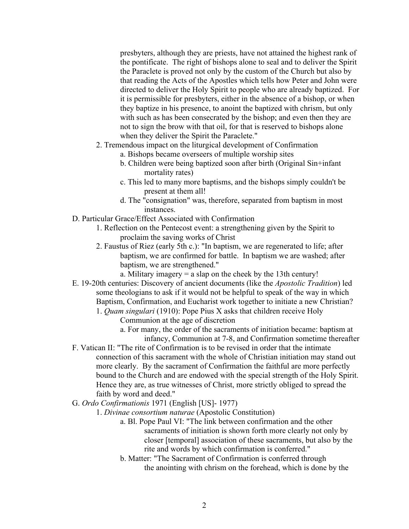presbyters, although they are priests, have not attained the highest rank of the pontificate. The right of bishops alone to seal and to deliver the Spirit the Paraclete is proved not only by the custom of the Church but also by that reading the Acts of the Apostles which tells how Peter and John were directed to deliver the Holy Spirit to people who are already baptized. For it is permissible for presbyters, either in the absence of a bishop, or when they baptize in his presence, to anoint the baptized with chrism, but only with such as has been consecrated by the bishop; and even then they are not to sign the brow with that oil, for that is reserved to bishops alone when they deliver the Spirit the Paraclete."

- 2. Tremendous impact on the liturgical development of Confirmation
	- a. Bishops became overseers of multiple worship sites
	- b. Children were being baptized soon after birth (Original Sin+infant mortality rates)
	- c. This led to many more baptisms, and the bishops simply couldn't be present at them all!
	- d. The "consignation" was, therefore, separated from baptism in most instances.
- D. Particular Grace/Effect Associated with Confirmation
	- 1. Reflection on the Pentecost event: a strengthening given by the Spirit to proclaim the saving works of Christ
	- 2. Faustus of Riez (early 5th c.): "In baptism, we are regenerated to life; after baptism, we are confirmed for battle. In baptism we are washed; after baptism, we are strengthened."

a. Military imagery = a slap on the cheek by the 13th century!

- E. 19-20th centuries: Discovery of ancient documents (like the *Apostolic Tradition*) led some theologians to ask if it would not be helpful to speak of the way in which Baptism, Confirmation, and Eucharist work together to initiate a new Christian?
	- 1. *Quam singulari* (1910): Pope Pius X asks that children receive Holy Communion at the age of discretion
		- a. For many, the order of the sacraments of initiation became: baptism at infancy, Communion at 7-8, and Confirmation sometime thereafter
- F. Vatican II: "The rite of Confirmation is to be revised in order that the intimate connection of this sacrament with the whole of Christian initiation may stand out more clearly. By the sacrament of Confirmation the faithful are more perfectly bound to the Church and are endowed with the special strength of the Holy Spirit. Hence they are, as true witnesses of Christ, more strictly obliged to spread the faith by word and deed."
- G. *Ordo Confirmationis* 1971 (English [US]- 1977)
	- 1. *Divinae consortium naturae* (Apostolic Constitution)
		- a. Bl. Pope Paul VI: "The link between confirmation and the other sacraments of initiation is shown forth more clearly not only by closer [temporal] association of these sacraments, but also by the rite and words by which confirmation is conferred."
		- b. Matter: "The Sacrament of Confirmation is conferred through the anointing with chrism on the forehead, which is done by the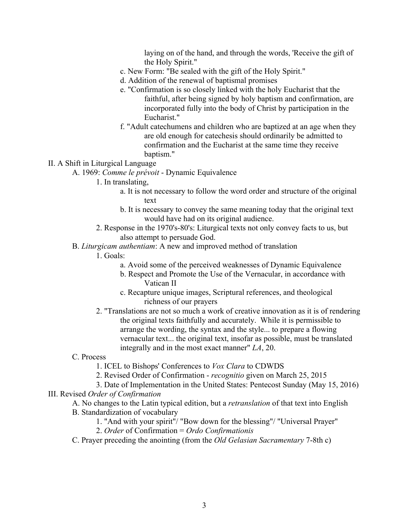laying on of the hand, and through the words, 'Receive the gift of the Holy Spirit."

- c. New Form: "Be sealed with the gift of the Holy Spirit."
- d. Addition of the renewal of baptismal promises
- e. "Confirmation is so closely linked with the holy Eucharist that the faithful, after being signed by holy baptism and confirmation, are incorporated fully into the body of Christ by participation in the Eucharist."
- f. "Adult catechumens and children who are baptized at an age when they are old enough for catechesis should ordinarily be admitted to confirmation and the Eucharist at the same time they receive baptism."

#### II. A Shift in Liturgical Language

A. 1969: *Comme le prévoit* - Dynamic Equivalence

#### 1. In translating,

- a. It is not necessary to follow the word order and structure of the original text
- b. It is necessary to convey the same meaning today that the original text would have had on its original audience.
- 2. Response in the 1970's-80's: Liturgical texts not only convey facts to us, but also attempt to persuade God.

## B. *Liturgicam authentiam*: A new and improved method of translation

- 1. Goals:
	- a. Avoid some of the perceived weaknesses of Dynamic Equivalence
	- b. Respect and Promote the Use of the Vernacular, in accordance with Vatican II
	- c. Recapture unique images, Scriptural references, and theological richness of our prayers
- 2. "Translations are not so much a work of creative innovation as it is of rendering the original texts faithfully and accurately. While it is permissible to arrange the wording, the syntax and the style... to prepare a flowing vernacular text... the original text, insofar as possible, must be translated integrally and in the most exact manner" *LA*, 20.

## C. Process

1. ICEL to Bishops' Conferences to *Vox Clara* to CDWDS

2. Revised Order of Confirmation - *recognitio* given on March 25, 2015

3. Date of Implementation in the United States: Pentecost Sunday (May 15, 2016)

# III. Revised *Order of Confirmation*

- A. No changes to the Latin typical edition, but a *retranslation* of that text into English
- B. Standardization of vocabulary
	- 1. "And with your spirit"/ "Bow down for the blessing"/ "Universal Prayer"
	- 2. *Order* of Confirmation = *Ordo Confirmationis*
- C. Prayer preceding the anointing (from the *Old Gelasian Sacramentary* 7-8th c)